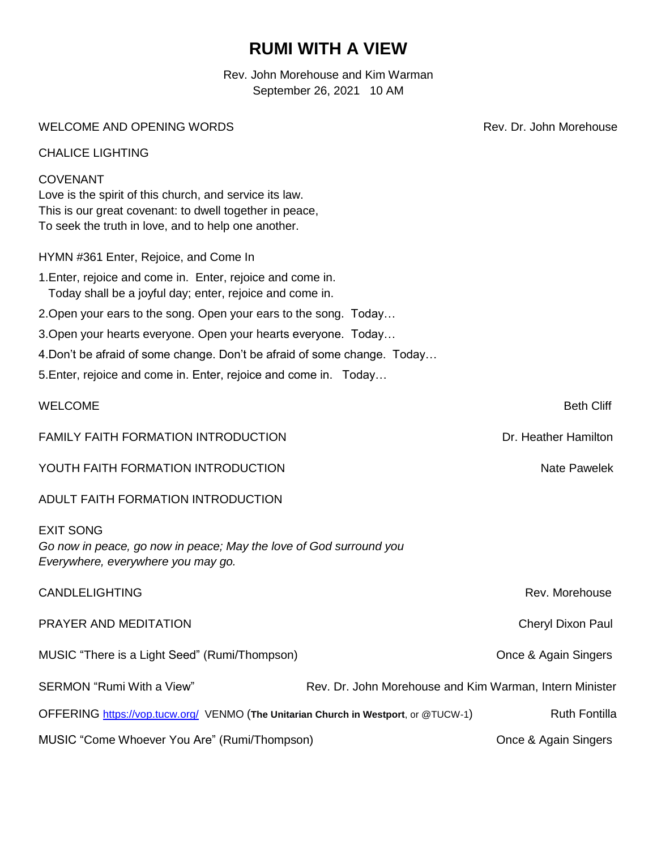# **RUMI WITH A VIEW**

Rev. John Morehouse and Kim Warman September 26, 2021 10 AM

WELCOME AND OPENING WORDS **Rev. Dr. John Morehouse** Rev. Dr. John Morehouse

CHALICE LIGHTING

#### COVENANT

Love is the spirit of this church, and service its law. This is our great covenant: to dwell together in peace, To seek the truth in love, and to help one another.

|  | HYMN #361 Enter, Rejoice, and Come In |  |  |
|--|---------------------------------------|--|--|
|  |                                       |  |  |

- 1.Enter, rejoice and come in. Enter, rejoice and come in. Today shall be a joyful day; enter, rejoice and come in.
- 2.Open your ears to the song. Open your ears to the song. Today…
- 3.Open your hearts everyone. Open your hearts everyone. Today…
- 4.Don't be afraid of some change. Don't be afraid of some change. Today…
- 5.Enter, rejoice and come in. Enter, rejoice and come in. Today…

#### WELCOME **Beth Cliff**

FAMILY FAITH FORMATION INTRODUCTION DRIVING AND THE SAMILY FAITH FORMATION DRIVING THE SAMILY FORMATION

YOUTH FAITH FORMATION INTRODUCTION NATE OF A SAME PAWELS AND MALL PAWELS NATE PAWELS

### ADULT FAITH FORMATION INTRODUCTION

EXIT SONG *Go now in peace, go now in peace; May the love of God surround you Everywhere, everywhere you may go.*

| <b>CANDLELIGHTING</b>                                                               | Rev. Morehouse                                          |
|-------------------------------------------------------------------------------------|---------------------------------------------------------|
| PRAYER AND MEDITATION                                                               | Cheryl Dixon Paul                                       |
| MUSIC "There is a Light Seed" (Rumi/Thompson)                                       | Once & Again Singers                                    |
| SERMON "Rumi With a View"                                                           | Rev. Dr. John Morehouse and Kim Warman, Intern Minister |
| OFFERING https://vop.tucw.org/ VENMO (The Unitarian Church in Westport, or @TUCW-1) | <b>Ruth Fontilla</b>                                    |
| MUSIC "Come Whoever You Are" (Rumi/Thompson)                                        | Once & Again Singers                                    |